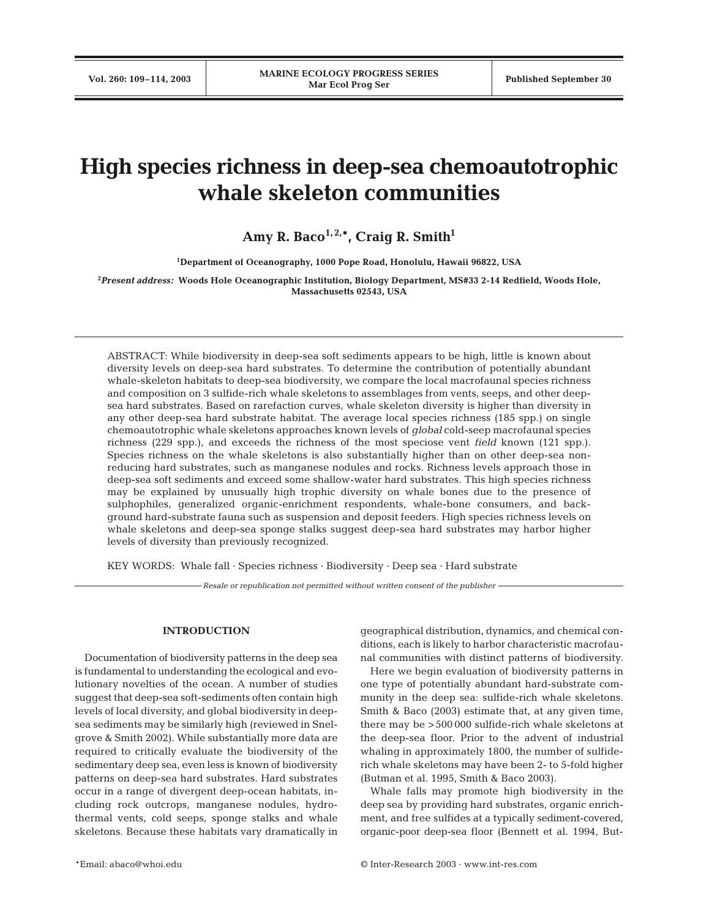# **High species richness in deep-sea chemoautotrophic whale skeleton communities**

# Amy R. Baco<sup>1, 2,\*</sup>, Craig R. Smith<sup>1</sup>

**1 Department of Oceanography, 1000 Pope Road, Honolulu, Hawaii 96822, USA**

**2** *Present address:* **Woods Hole Oceanographic Institution, Biology Department, MS#33 2-14 Redfield, Woods Hole, Massachusetts 02543, USA**

ABSTRACT: While biodiversity in deep-sea soft sediments appears to be high, little is known about diversity levels on deep-sea hard substrates. To determine the contribution of potentially abundant whale-skeleton habitats to deep-sea biodiversity, we compare the local macrofaunal species richness and composition on 3 sulfide-rich whale skeletons to assemblages from vents, seeps, and other deepsea hard substrates. Based on rarefaction curves, whale skeleton diversity is higher than diversity in any other deep-sea hard substrate habitat. The average local species richness (185 spp.) on single chemoautotrophic whale skeletons approaches known levels of *global* cold-seep macrofaunal species richness (229 spp.), and exceeds the richness of the most speciose vent *field* known (121 spp.). Species richness on the whale skeletons is also substantially higher than on other deep-sea nonreducing hard substrates, such as manganese nodules and rocks. Richness levels approach those in deep-sea soft sediments and exceed some shallow-water hard substrates. This high species richness may be explained by unusually high trophic diversity on whale bones due to the presence of sulphophiles, generalized organic-enrichment respondents, whale-bone consumers, and background hard-substrate fauna such as suspension and deposit feeders. High species richness levels on whale skeletons and deep-sea sponge stalks suggest deep-sea hard substrates may harbor higher levels of diversity than previously recognized.

KEY WORDS: Whale fall · Species richness · Biodiversity · Deep sea · Hard substrate

*Resale or republication not permitted without written consent of the publisher*

## **INTRODUCTION**

Documentation of biodiversity patterns in the deep sea is fundamental to understanding the ecological and evolutionary novelties of the ocean. A number of studies suggest that deep-sea soft-sediments often contain high levels of local diversity, and global biodiversity in deepsea sediments may be similarly high (reviewed in Snelgrove & Smith 2002). While substantially more data are required to critically evaluate the biodiversity of the sedimentary deep sea, even less is known of biodiversity patterns on deep-sea hard substrates. Hard substrates occur in a range of divergent deep-ocean habitats, including rock outcrops, manganese nodules, hydrothermal vents, cold seeps, sponge stalks and whale skeletons. Because these habitats vary dramatically in

geographical distribution, dynamics, and chemical conditions, each is likely to harbor characteristic macrofaunal communities with distinct patterns of biodiversity.

Here we begin evaluation of biodiversity patterns in one type of potentially abundant hard-substrate community in the deep sea: sulfide-rich whale skeletons. Smith & Baco (2003) estimate that, at any given time, there may be >500 000 sulfide-rich whale skeletons at the deep-sea floor. Prior to the advent of industrial whaling in approximately 1800, the number of sulfiderich whale skeletons may have been 2- to 5-fold higher (Butman et al. 1995, Smith & Baco 2003).

Whale falls may promote high biodiversity in the deep sea by providing hard substrates, organic enrichment, and free sulfides at a typically sediment-covered, organic-poor deep-sea floor (Bennett et al. 1994, But-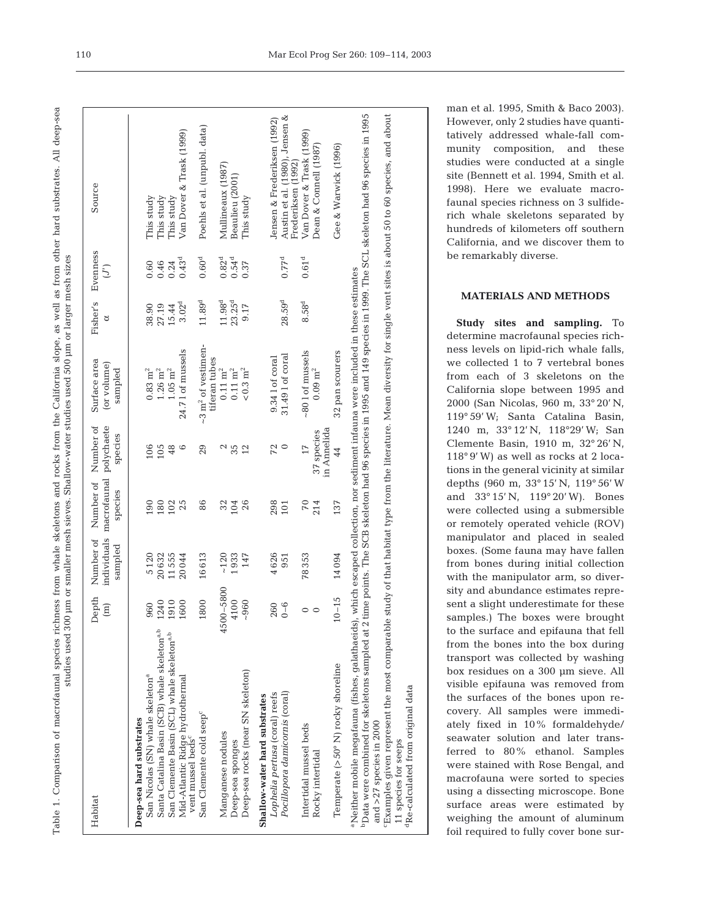Table 1. Comparison of macrofaunal species richness from whale skeletons and rocks from the California slope, as well as from other hard substrates. All deep-sea Table 1. Comparison of macrofaunal species richness from whale skeletons and rocks from the California slope, as well as from other hard substrates. All deep-sea studies used 300 µm or smaller mesh sieves. Shallow-water studies used 500 µm or larger mesh sizes studies used 300 µm or smaller mesh sieves. Shallow-water studies used 500 µm or larger mesh sizes

| Habitat                                                                                                                                                                                                                                                                                                                              | Depth<br>$\begin{array}{c} \begin{array}{c} \text{[m]} \end{array} \end{array}$ | Number of<br>sampled | individuals macrofaunal polychaete<br>Number of<br>species | Number of<br>species      | Surface area<br>(or volume)<br>sampled          | Fisher's<br>ಠ      | Evenness<br>$\left($ $\right)$       | Source                                               |
|--------------------------------------------------------------------------------------------------------------------------------------------------------------------------------------------------------------------------------------------------------------------------------------------------------------------------------------|---------------------------------------------------------------------------------|----------------------|------------------------------------------------------------|---------------------------|-------------------------------------------------|--------------------|--------------------------------------|------------------------------------------------------|
| Deep-sea hard substrates                                                                                                                                                                                                                                                                                                             |                                                                                 |                      |                                                            |                           |                                                 |                    |                                      |                                                      |
| San Nicolas (SN) whale skeleton <sup>a</sup>                                                                                                                                                                                                                                                                                         | 960                                                                             | 5120                 | 190                                                        | 106                       | $0.83\;{\rm m^2}$                               | 38.90              | 0.60                                 | This study                                           |
| Santa Catalina Basin (SCB) whale skeleton <sup>a,b</sup>                                                                                                                                                                                                                                                                             | 1240                                                                            | 20632                | 180                                                        | 105                       | $1.26\;{\rm m^2}$                               | 27.19              | 0.46                                 | This study                                           |
| San Clemente Basin (SCL) whale skeleton <sup>a,b</sup>                                                                                                                                                                                                                                                                               | 1910                                                                            | 11555                |                                                            | 48                        | $1.05\;{\rm m^2}$                               | 15.44              | $0.24$<br>$0.43^d$                   | This study                                           |
| Mid-Atlantic Ridge hydrothermal<br>vent mussel beds <sup>c</sup>                                                                                                                                                                                                                                                                     | 1600                                                                            | 20044                | 102<br>25                                                  | G                         | 24.71 of mussels                                | 3.02 <sup>d</sup>  |                                      | Van Dover & Trask (1999)                             |
| San Clemente cold seep <sup>c</sup>                                                                                                                                                                                                                                                                                                  | 800<br>$\frac{8}{18}$                                                           | 16613                | 86                                                         | 29                        | ~3 m <sup>2</sup> of vestimen-<br>tiferan tubes | $11.89^{\rm d}$    | $0.60^{d}$                           | Poehls et al. (unpubl. data)                         |
| Manganese nodules                                                                                                                                                                                                                                                                                                                    | 4500-5800                                                                       | $~120$               | 32                                                         | 2                         | $0.11\;\mathrm{m}^2$                            | 11.98 <sup>d</sup> |                                      | Mullineaux (1987)                                    |
| Deep-sea sponges                                                                                                                                                                                                                                                                                                                     | 4100                                                                            | 1933                 | 104                                                        | 35                        | $0.11\;\mathrm{m}^2$                            | $23.25^{d}$        | $0.82d$<br>0.54 <sup>d</sup><br>0.37 | Beaulieu (2001)                                      |
| Deep-sea rocks (near SN skeleton)                                                                                                                                                                                                                                                                                                    | $-960$                                                                          | 147                  | 26                                                         | 12                        | $<\!0.3~{\rm m}^2$                              | 9.17               |                                      | This study                                           |
| Shallow-water hard substrates                                                                                                                                                                                                                                                                                                        |                                                                                 |                      |                                                            |                           |                                                 |                    |                                      |                                                      |
| Lophelia pertusa (coral) reefs                                                                                                                                                                                                                                                                                                       | 260                                                                             | 4626                 | 298                                                        | 72                        | 9.34 1 of coral                                 |                    |                                      | Jensen & Frederiksen (1992)                          |
| Pocillopora damicornis (coral)                                                                                                                                                                                                                                                                                                       | $0 - 6$                                                                         | 951                  | 101                                                        |                           | 31.49 l of coral                                | 28.59 <sup>d</sup> | 0.77 <sup>d</sup>                    | Austin et al. (1980), Jensen &<br>Frederiksen (1992) |
| Intertidal mussel beds                                                                                                                                                                                                                                                                                                               | $\circ$                                                                         | 78353                | 70                                                         | 17                        | ~801 of mussels                                 | 8.58 <sup>d</sup>  | $0.61^{\rm d}$                       | Van Dover & Trask (1999)                             |
| Rocky intertidal                                                                                                                                                                                                                                                                                                                     | $\circ$                                                                         |                      | 214                                                        | in Annelida<br>37 species | $0.09$ m <sup>2</sup>                           |                    |                                      | Dean & Connell (1987)                                |
| Temperate (>50° N) rocky shoreline                                                                                                                                                                                                                                                                                                   | $10 - 15$                                                                       | 14094                | 137                                                        | 44                        | 32 pan scourers                                 |                    |                                      | Gee & Warwick (1996)                                 |
| Data were combined for skeletons sampled at 2 time points. The SCB skeleton had 96 species in 1995 and 149 species in 1999. The SCL skeleton had 96 species in 1995<br>"Neither mobile megatauna (fishes, galathaeids), which escaped collection, nor sediment infauna were included in these estimates<br>and $>27$ species in 2000 |                                                                                 |                      |                                                            |                           |                                                 |                    |                                      |                                                      |
| $^{\circ}$ Examples given represent the most comparable study of that habitat type from the literature. Mean diversity for single vent sites is about 50 to 60 species, and about                                                                                                                                                    |                                                                                 |                      |                                                            |                           |                                                 |                    |                                      |                                                      |
| 11 species for seeps                                                                                                                                                                                                                                                                                                                 |                                                                                 |                      |                                                            |                           |                                                 |                    |                                      |                                                      |
| <sup>1</sup> Re-calculated from original data                                                                                                                                                                                                                                                                                        |                                                                                 |                      |                                                            |                           |                                                 |                    |                                      |                                                      |

man et al. 1995, Smith & Baco 2003). However, only 2 studies have quantitatively addressed whale-fall community composition, and these studies were conducted at a single site (Bennett et al. 1994, Smith et al. 1998). Here we evaluate macrofaunal species richness on 3 sulfiderich whale skeletons separated by hundreds of kilometers off southern California, and we discover them to be remarkably diverse.

# **MATERIALS AND METHODS**

**Study sites and sampling.** To determine macrofaunal species richness levels on lipid-rich whale falls, we collected 1 to 7 vertebral bones from each of 3 skeletons on the California slope between 1995 and 2000 (San Nicolas, 960 m, 33° 20' N, 119° 59' W; Santa Catalina Basin, 1240 m, 33° 12' N, 118°29' W; San Clemente Basin, 1910 m, 32° 26' N, 118° 9' W) as well as rocks at 2 locations in the general vicinity at similar depths (960 m, 33° 15' N, 119° 56' W and 33° 15' N, 119° 20' W). Bones were collected using a submersible or remotely operated vehicle (ROV) manipulator and placed in sealed boxes. (Some fauna may have fallen from bones during initial collection with the manipulator arm, so diversity and abundance estimates represent a slight underestimate for these samples.) The boxes were brought to the surface and epifauna that fell from the bones into the box during transport was collected by washing box residues on a 300 µm sieve. All visible epifauna was removed from the surfaces of the bones upon recovery. All samples were immediately fixed in 10% formaldehyde/ seawater solution and later transferred to 80% ethanol. Samples were stained with Rose Bengal, and macrofauna were sorted to species using a dissecting microscope. Bone surface areas were estimated by weighing the amount of aluminum foil required to fully cover bone sur-

110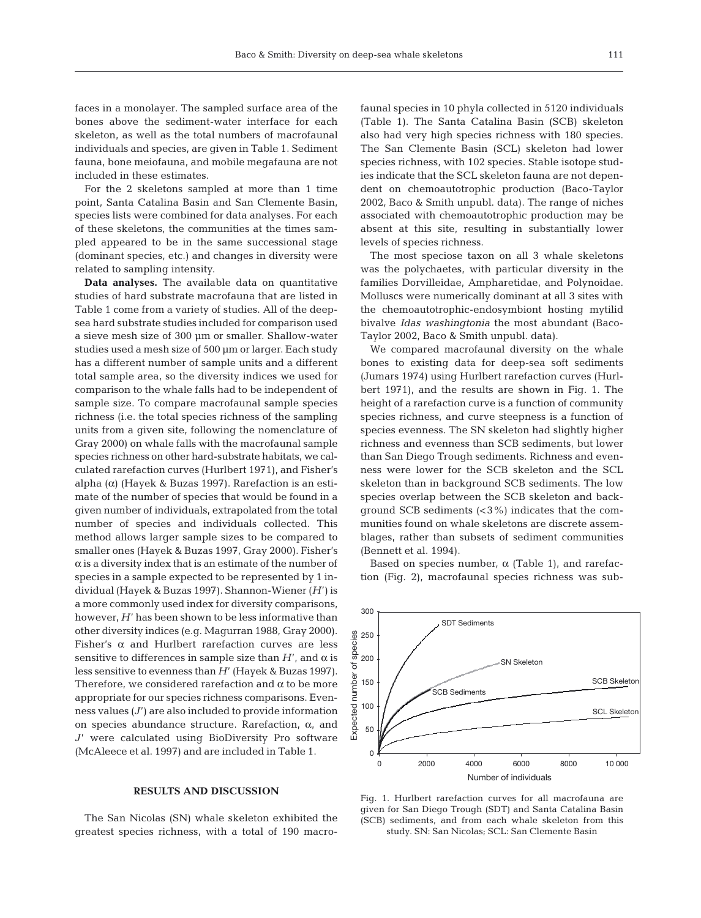faces in a monolayer. The sampled surface area of the bones above the sediment-water interface for each skeleton, as well as the total numbers of macrofaunal individuals and species, are given in Table 1. Sediment fauna, bone meiofauna, and mobile megafauna are not included in these estimates.

For the 2 skeletons sampled at more than 1 time point, Santa Catalina Basin and San Clemente Basin, species lists were combined for data analyses. For each of these skeletons, the communities at the times sampled appeared to be in the same successional stage (dominant species, etc.) and changes in diversity were related to sampling intensity.

**Data analyses.** The available data on quantitative studies of hard substrate macrofauna that are listed in Table 1 come from a variety of studies. All of the deepsea hard substrate studies included for comparison used a sieve mesh size of 300 µm or smaller. Shallow-water studies used a mesh size of 500 µm or larger. Each study has a different number of sample units and a different total sample area, so the diversity indices we used for comparison to the whale falls had to be independent of sample size. To compare macrofaunal sample species richness (i.e. the total species richness of the sampling units from a given site, following the nomenclature of Gray 2000) on whale falls with the macrofaunal sample species richness on other hard-substrate habitats, we calculated rarefaction curves (Hurlbert 1971), and Fisher's alpha (α) (Hayek & Buzas 1997). Rarefaction is an estimate of the number of species that would be found in a given number of individuals, extrapolated from the total number of species and individuals collected. This method allows larger sample sizes to be compared to smaller ones (Hayek & Buzas 1997, Gray 2000). Fisher's  $\alpha$  is a diversity index that is an estimate of the number of species in a sample expected to be represented by 1 individual (Hayek & Buzas 1997). Shannon-Wiener (*H*') is a more commonly used index for diversity comparisons, however, *H*' has been shown to be less informative than other diversity indices (e.g. Magurran 1988, Gray 2000). Fisher's  $\alpha$  and Hurlbert rarefaction curves are less sensitive to differences in sample size than  $H'$ , and  $\alpha$  is less sensitive to evenness than *H*' (Hayek & Buzas 1997). Therefore, we considered rarefaction and  $\alpha$  to be more appropriate for our species richness comparisons. Evenness values (*J*') are also included to provide information on species abundance structure. Rarefaction,  $\alpha$ , and *J*' were calculated using BioDiversity Pro software (McAleece et al. 1997) and are included in Table 1.

### **RESULTS AND DISCUSSION**

The San Nicolas (SN) whale skeleton exhibited the greatest species richness, with a total of 190 macro-

faunal species in 10 phyla collected in 5120 individuals (Table 1). The Santa Catalina Basin (SCB) skeleton also had very high species richness with 180 species. The San Clemente Basin (SCL) skeleton had lower species richness, with 102 species. Stable isotope studies indicate that the SCL skeleton fauna are not dependent on chemoautotrophic production (Baco-Taylor 2002, Baco & Smith unpubl. data). The range of niches associated with chemoautotrophic production may be absent at this site, resulting in substantially lower levels of species richness.

The most speciose taxon on all 3 whale skeletons was the polychaetes, with particular diversity in the families Dorvilleidae, Ampharetidae, and Polynoidae. Molluscs were numerically dominant at all 3 sites with the chemoautotrophic-endosymbiont hosting mytilid bivalve *Idas washingtonia* the most abundant (Baco-Taylor 2002, Baco & Smith unpubl. data).

We compared macrofaunal diversity on the whale bones to existing data for deep-sea soft sediments (Jumars 1974) using Hurlbert rarefaction curves (Hurlbert 1971), and the results are shown in Fig. 1. The height of a rarefaction curve is a function of community species richness, and curve steepness is a function of species evenness. The SN skeleton had slightly higher richness and evenness than SCB sediments, but lower than San Diego Trough sediments. Richness and evenness were lower for the SCB skeleton and the SCL skeleton than in background SCB sediments. The low species overlap between the SCB skeleton and background SCB sediments  $(<3\%)$  indicates that the communities found on whale skeletons are discrete assemblages, rather than subsets of sediment communities (Bennett et al. 1994).

Based on species number,  $\alpha$  (Table 1), and rarefaction (Fig. 2), macrofaunal species richness was sub-



Fig. 1. Hurlbert rarefaction curves for all macrofauna are given for San Diego Trough (SDT) and Santa Catalina Basin (SCB) sediments, and from each whale skeleton from this study. SN: San Nicolas; SCL: San Clemente Basin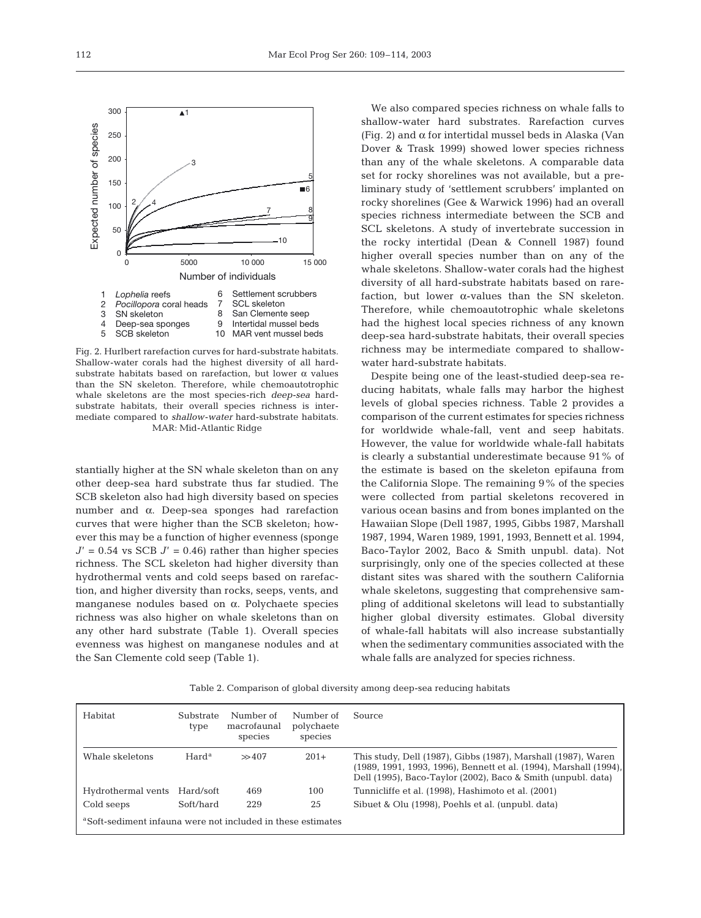Fig. 2. Hurlbert rarefaction curves for hard-substrate habitats. Shallow-water corals had the highest diversity of all hardsubstrate habitats based on rarefaction, but lower  $\alpha$  values than the SN skeleton. Therefore, while chemoautotrophic whale skeletons are the most species-rich *deep-sea* hardsubstrate habitats, their overall species richness is intermediate compared to *shallow-water* hard-substrate habitats. MAR: Mid-Atlantic Ridge

stantially higher at the SN whale skeleton than on any other deep-sea hard substrate thus far studied. The SCB skeleton also had high diversity based on species number and α. Deep-sea sponges had rarefaction curves that were higher than the SCB skeleton; however this may be a function of higher evenness (sponge  $J' = 0.54$  vs SCB  $J' = 0.46$  rather than higher species richness. The SCL skeleton had higher diversity than hydrothermal vents and cold seeps based on rarefaction, and higher diversity than rocks, seeps, vents, and manganese nodules based on α. Polychaete species richness was also higher on whale skeletons than on any other hard substrate (Table 1). Overall species evenness was highest on manganese nodules and at the San Clemente cold seep (Table 1).

We also compared species richness on whale falls to shallow-water hard substrates. Rarefaction curves (Fig. 2) and  $\alpha$  for intertidal mussel beds in Alaska (Van Dover & Trask 1999) showed lower species richness than any of the whale skeletons. A comparable data set for rocky shorelines was not available, but a preliminary study of 'settlement scrubbers' implanted on rocky shorelines (Gee & Warwick 1996) had an overall species richness intermediate between the SCB and SCL skeletons. A study of invertebrate succession in the rocky intertidal (Dean & Connell 1987) found higher overall species number than on any of the whale skeletons. Shallow-water corals had the highest diversity of all hard-substrate habitats based on rarefaction, but lower  $\alpha$ -values than the SN skeleton. Therefore, while chemoautotrophic whale skeletons had the highest local species richness of any known deep-sea hard-substrate habitats, their overall species richness may be intermediate compared to shallowwater hard-substrate habitats.

Despite being one of the least-studied deep-sea reducing habitats, whale falls may harbor the highest levels of global species richness. Table 2 provides a comparison of the current estimates for species richness for worldwide whale-fall, vent and seep habitats. However, the value for worldwide whale-fall habitats is clearly a substantial underestimate because 91% of the estimate is based on the skeleton epifauna from the California Slope. The remaining 9% of the species were collected from partial skeletons recovered in various ocean basins and from bones implanted on the Hawaiian Slope (Dell 1987, 1995, Gibbs 1987, Marshall 1987, 1994, Waren 1989, 1991, 1993, Bennett et al. 1994, Baco-Taylor 2002, Baco & Smith unpubl. data). Not surprisingly, only one of the species collected at these distant sites was shared with the southern California whale skeletons, suggesting that comprehensive sampling of additional skeletons will lead to substantially higher global diversity estimates. Global diversity of whale-fall habitats will also increase substantially when the sedimentary communities associated with the whale falls are analyzed for species richness.

Table 2. Comparison of global diversity among deep-sea reducing habitats

| Habitat                                                                 | Substrate<br>type | Number of<br>macrofaunal<br>species | Number of<br>polychaete<br>species | Source                                                                                                                                                                                             |  |  |  |  |
|-------------------------------------------------------------------------|-------------------|-------------------------------------|------------------------------------|----------------------------------------------------------------------------------------------------------------------------------------------------------------------------------------------------|--|--|--|--|
| Whale skeletons                                                         | Hard <sup>a</sup> | >> 407                              | $201+$                             | This study, Dell (1987), Gibbs (1987), Marshall (1987), Waren<br>(1989, 1991, 1993, 1996), Bennett et al. (1994), Marshall (1994),<br>Dell (1995), Baco-Taylor (2002), Baco & Smith (unpubl. data) |  |  |  |  |
| Hydrothermal vents                                                      | Hard/soft         | 469                                 | 100                                | Tunnicliffe et al. (1998), Hashimoto et al. (2001)                                                                                                                                                 |  |  |  |  |
| Cold seeps                                                              | Soft/hard         | 229                                 | 25                                 | Sibuet & Olu (1998), Poehls et al. (unpubl. data)                                                                                                                                                  |  |  |  |  |
| <sup>a</sup> Soft-sediment infauna were not included in these estimates |                   |                                     |                                    |                                                                                                                                                                                                    |  |  |  |  |

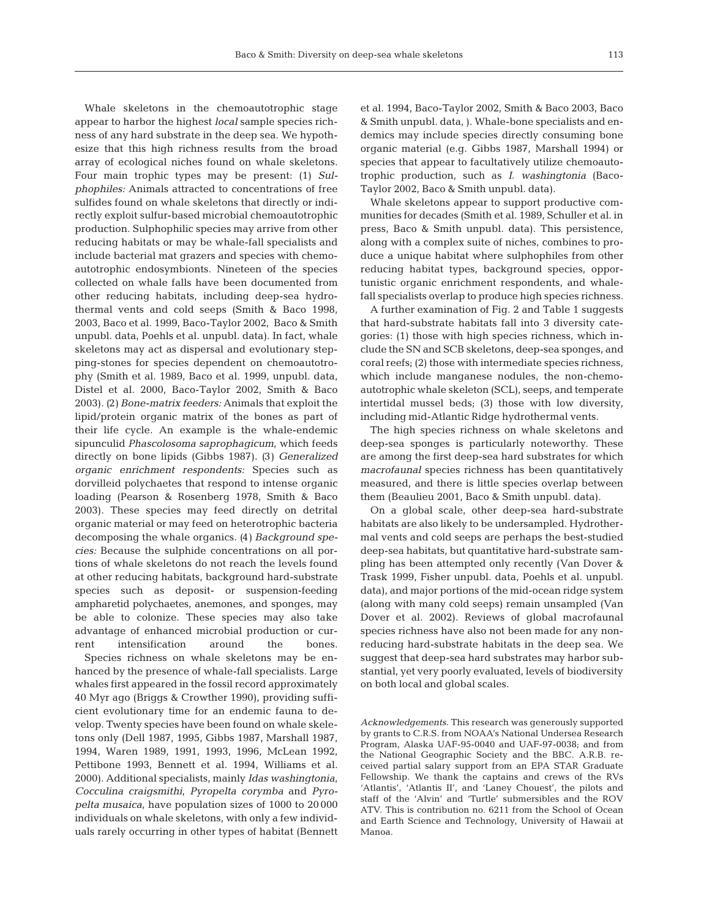Whale skeletons in the chemoautotrophic stage appear to harbor the highest *local* sample species richness of any hard substrate in the deep sea. We hypothesize that this high richness results from the broad array of ecological niches found on whale skeletons. Four main trophic types may be present: (1) *Sulphophiles:* Animals attracted to concentrations of free sulfides found on whale skeletons that directly or indirectly exploit sulfur-based microbial chemoautotrophic production. Sulphophilic species may arrive from other reducing habitats or may be whale-fall specialists and include bacterial mat grazers and species with chemoautotrophic endosymbionts. Nineteen of the species collected on whale falls have been documented from other reducing habitats, including deep-sea hydrothermal vents and cold seeps (Smith & Baco 1998, 2003, Baco et al. 1999, Baco-Taylor 2002, Baco & Smith unpubl. data, Poehls et al. unpubl. data). In fact, whale skeletons may act as dispersal and evolutionary stepping-stones for species dependent on chemoautotrophy (Smith et al. 1989, Baco et al. 1999, unpubl. data, Distel et al. 2000, Baco-Taylor 2002, Smith & Baco 2003). *(*2*) Bone-matrix feeders:* Animals that exploit the lipid/protein organic matrix of the bones as part of their life cycle. An example is the whale-endemic sipunculid *Phascolosoma saprophagicum*, which feeds directly on bone lipids (Gibbs 1987). *(*3*) Generalized organic enrichment respondents:* Species such as dorvilleid polychaetes that respond to intense organic loading (Pearson & Rosenberg 1978, Smith & Baco 2003). These species may feed directly on detrital organic material or may feed on heterotrophic bacteria decomposing the whale organics. *(*4*) Background species:* Because the sulphide concentrations on all portions of whale skeletons do not reach the levels found at other reducing habitats, background hard-substrate species such as deposit- or suspension-feeding ampharetid polychaetes, anemones, and sponges, may be able to colonize. These species may also take advantage of enhanced microbial production or current intensification around the bones.

Species richness on whale skeletons may be enhanced by the presence of whale-fall specialists. Large whales first appeared in the fossil record approximately 40 Myr ago (Briggs & Crowther 1990), providing sufficient evolutionary time for an endemic fauna to develop. Twenty species have been found on whale skeletons only (Dell 1987, 1995, Gibbs 1987, Marshall 1987, 1994, Waren 1989, 1991, 1993, 1996, McLean 1992, Pettibone 1993, Bennett et al. 1994, Williams et al. 2000). Additional specialists, mainly *Idas washingtonia*, *Cocculina craigsmithi*, *Pyropelta corymba* and *Pyropelta musaica*, have population sizes of 1000 to 20 000 individuals on whale skeletons, with only a few individuals rarely occurring in other types of habitat (Bennett et al. 1994, Baco-Taylor 2002, Smith & Baco 2003, Baco & Smith unpubl. data, ). Whale-bone specialists and endemics may include species directly consuming bone organic material (e.g. Gibbs 1987, Marshall 1994) or species that appear to facultatively utilize chemoautotrophic production, such as *I*. *washingtonia* (Baco-Taylor 2002, Baco & Smith unpubl. data).

Whale skeletons appear to support productive communities for decades (Smith et al. 1989, Schuller et al. in press, Baco & Smith unpubl. data). This persistence, along with a complex suite of niches, combines to produce a unique habitat where sulphophiles from other reducing habitat types, background species, opportunistic organic enrichment respondents, and whalefall specialists overlap to produce high species richness.

A further examination of Fig. 2 and Table 1 suggests that hard-substrate habitats fall into 3 diversity categories: (1) those with high species richness, which include the SN and SCB skeletons, deep-sea sponges, and coral reefs; (2) those with intermediate species richness, which include manganese nodules, the non-chemoautotrophic whale skeleton (SCL), seeps, and temperate intertidal mussel beds; (3) those with low diversity, including mid-Atlantic Ridge hydrothermal vents.

The high species richness on whale skeletons and deep-sea sponges is particularly noteworthy. These are among the first deep-sea hard substrates for which *macrofaunal* species richness has been quantitatively measured, and there is little species overlap between them (Beaulieu 2001, Baco & Smith unpubl. data).

On a global scale, other deep-sea hard-substrate habitats are also likely to be undersampled. Hydrothermal vents and cold seeps are perhaps the best-studied deep-sea habitats, but quantitative hard-substrate sampling has been attempted only recently (Van Dover & Trask 1999, Fisher unpubl. data, Poehls et al. unpubl. data), and major portions of the mid-ocean ridge system (along with many cold seeps) remain unsampled (Van Dover et al. 2002). Reviews of global macrofaunal species richness have also not been made for any nonreducing hard-substrate habitats in the deep sea. We suggest that deep-sea hard substrates may harbor substantial, yet very poorly evaluated, levels of biodiversity on both local and global scales.

*Acknowledgements*. This research was generously supported by grants to C.R.S. from NOAA's National Undersea Research Program, Alaska UAF-95-0040 and UAF-97-0038; and from the National Geographic Society and the BBC. A.R.B. received partial salary support from an EPA STAR Graduate Fellowship. We thank the captains and crews of the RVs 'Atlantis', 'Atlantis II', and 'Laney Chouest', the pilots and staff of the 'Alvin' and 'Turtle' submersibles and the ROV ATV. This is contribution no. 6211 from the School of Ocean and Earth Science and Technology, University of Hawaii at Manoa.